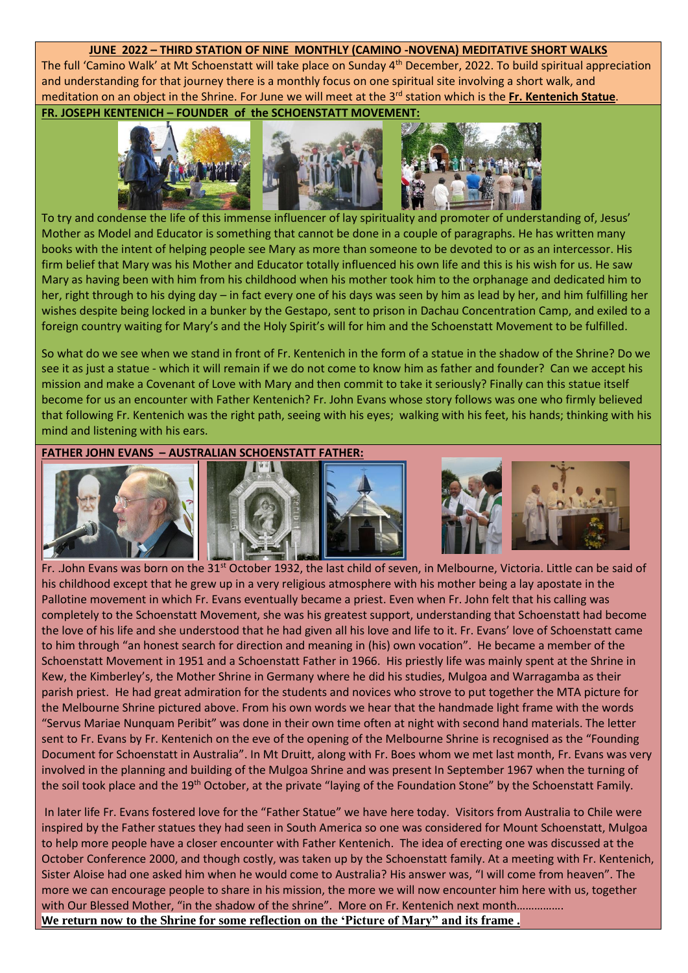## **JUNE 2022 – THIRD STATION OF NINE MONTHLY (CAMINO -NOVENA) MEDITATIVE SHORT WALKS**

The full 'Camino Walk' at Mt Schoenstatt will take place on Sunday 4<sup>th</sup> December, 2022. To build spiritual appreciation and understanding for that journey there is a monthly focus on one spiritual site involving a short walk, and meditation on an object in the Shrine. For June we will meet at the 3 rd station which is the **Fr. Kentenich Statue**.

**FR. JOSEPH KENTENICH – FOUNDER of the SCHOENSTATT MOVEMENT:** 



To try and condense the life of this immense influencer of lay spirituality and promoter of understanding of, Jesus' Mother as Model and Educator is something that cannot be done in a couple of paragraphs. He has written many books with the intent of helping people see Mary as more than someone to be devoted to or as an intercessor. His firm belief that Mary was his Mother and Educator totally influenced his own life and this is his wish for us. He saw Mary as having been with him from his childhood when his mother took him to the orphanage and dedicated him to her, right through to his dying day – in fact every one of his days was seen by him as lead by her, and him fulfilling her wishes despite being locked in a bunker by the Gestapo, sent to prison in Dachau Concentration Camp, and exiled to a foreign country waiting for Mary's and the Holy Spirit's will for him and the Schoenstatt Movement to be fulfilled.

So what do we see when we stand in front of Fr. Kentenich in the form of a statue in the shadow of the Shrine? Do we see it as just a statue - which it will remain if we do not come to know him as father and founder? Can we accept his mission and make a Covenant of Love with Mary and then commit to take it seriously? Finally can this statue itself become for us an encounter with Father Kentenich? Fr. John Evans whose story follows was one who firmly believed that following Fr. Kentenich was the right path, seeing with his eyes; walking with his feet, his hands; thinking with his mind and listening with his ears.

**FATHER JOHN EVANS – AUSTRALIAN SCHOENSTATT FATHER:**



Fr. .John Evans was born on the 31<sup>st</sup> October 1932, the last child of seven, in Melbourne, Victoria. Little can be said of his childhood except that he grew up in a very religious atmosphere with his mother being a lay apostate in the Pallotine movement in which Fr. Evans eventually became a priest. Even when Fr. John felt that his calling was completely to the Schoenstatt Movement, she was his greatest support, understanding that Schoenstatt had become the love of his life and she understood that he had given all his love and life to it. Fr. Evans' love of Schoenstatt came to him through "an honest search for direction and meaning in (his) own vocation". He became a member of the Schoenstatt Movement in 1951 and a Schoenstatt Father in 1966. His priestly life was mainly spent at the Shrine in Kew, the Kimberley's, the Mother Shrine in Germany where he did his studies, Mulgoa and Warragamba as their parish priest. He had great admiration for the students and novices who strove to put together the MTA picture for the Melbourne Shrine pictured above. From his own words we hear that the handmade light frame with the words "Servus Mariae Nunquam Peribit" was done in their own time often at night with second hand materials. The letter sent to Fr. Evans by Fr. Kentenich on the eve of the opening of the Melbourne Shrine is recognised as the "Founding Document for Schoenstatt in Australia". In Mt Druitt, along with Fr. Boes whom we met last month, Fr. Evans was very involved in the planning and building of the Mulgoa Shrine and was present In September 1967 when the turning of the soil took place and the 19<sup>th</sup> October, at the private "laying of the Foundation Stone" by the Schoenstatt Family.

In later life Fr. Evans fostered love for the "Father Statue" we have here today. Visitors from Australia to Chile were inspired by the Father statues they had seen in South America so one was considered for Mount Schoenstatt, Mulgoa to help more people have a closer encounter with Father Kentenich. The idea of erecting one was discussed at the October Conference 2000, and though costly, was taken up by the Schoenstatt family. At a meeting with Fr. Kentenich, Sister Aloise had one asked him when he would come to Australia? His answer was, "I will come from heaven". The more we can encourage people to share in his mission, the more we will now encounter him here with us, together with Our Blessed Mother, "in the shadow of the shrine". More on Fr. Kentenich next month................ **We return now to the Shrine for some reflection on the 'Picture of Mary" and its frame .**